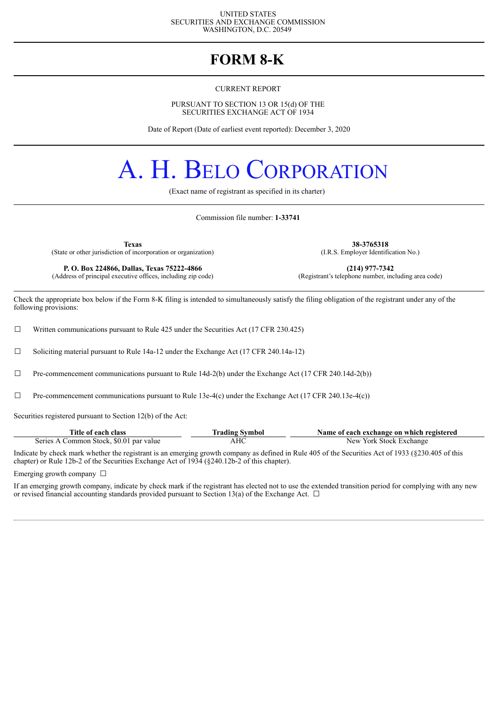#### UNITED STATES SECURITIES AND EXCHANGE COMMISSION WASHINGTON, D.C. 20549

### **FORM 8-K**

#### CURRENT REPORT

PURSUANT TO SECTION 13 OR 15(d) OF THE SECURITIES EXCHANGE ACT OF 1934

Date of Report (Date of earliest event reported): December 3, 2020

# A. H. BELO CORPORATION

(Exact name of registrant as specified in its charter)

Commission file number: **1-33741**

(State or other jurisdiction of incorporation or organization)

**P. O. Box 224866, Dallas, Texas 75222-4866 (214) 977-7342 (214) 977-7342 (214) 977-7342 (214) 977-7342 (214) 977-7342 (214) 977-7342 (214) 977-7342 (214) 10 (214) 10 (214) 10 (214** (Address of principal executive offices, including zip code)

**Texas 38-3765318**<br> **38-3765318** (I.R.S. Employer Identification No.)

Check the appropriate box below if the Form 8-K filing is intended to simultaneously satisfy the filing obligation of the registrant under any of the following provisions:

□ Written communications pursuant to Rule 425 under the Securities Act (17 CFR 230.425)

☐ Soliciting material pursuant to Rule 14a-12 under the Exchange Act (17 CFR 240.14a-12)

 $\Box$  Pre-commencement communications pursuant to Rule 14d-2(b) under the Exchange Act (17 CFR 240.14d-2(b))

 $\Box$  Pre-commencement communications pursuant to Rule 13e-4(c) under the Exchange Act (17 CFR 240.13e-4(c))

Securities registered pursuant to Section 12(b) of the Act:

| Title of each class                     | Trading Symbol | Name of each exchange on which registered |
|-----------------------------------------|----------------|-------------------------------------------|
| Series A Common Stock, \$0.01 par value | AHC            | New York Stock Exchange                   |

Indicate by check mark whether the registrant is an emerging growth company as defined in Rule 405 of the Securities Act of 1933 (§230.405 of this chapter) or Rule 12b-2 of the Securities Exchange Act of 1934 (§240.12b-2 of this chapter).

Emerging growth company  $\Box$ 

If an emerging growth company, indicate by check mark if the registrant has elected not to use the extended transition period for complying with any new or revised financial accounting standards provided pursuant to Section 13(a) of the Exchange Act.  $\Box$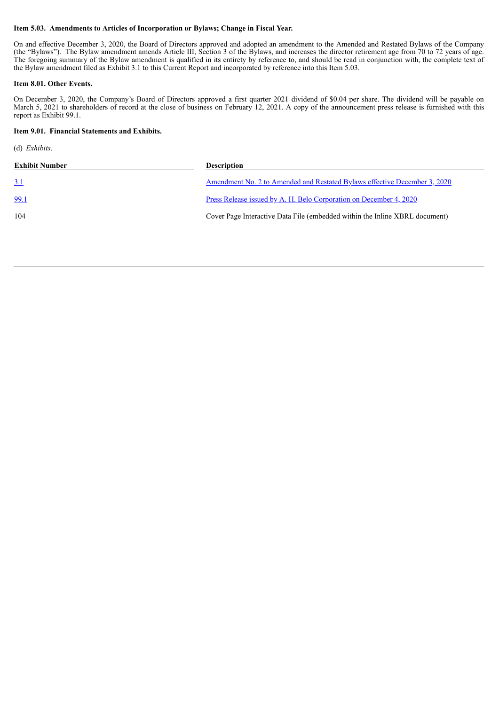#### **Item 5.03. Amendments to Articles of Incorporation or Bylaws; Change in Fiscal Year.**

On and effective December 3, 2020, the Board of Directors approved and adopted an amendment to the Amended and Restated Bylaws of the Company (the "Bylaws"). The Bylaw amendment amends Article III, Section 3 of the Bylaws, and increases the director retirement age from 70 to 72 years of age. The foregoing summary of the Bylaw amendment is qualified in its entirety by reference to, and should be read in conjunction with, the complete text of the Bylaw amendment filed as Exhibit 3.1 to this Current Report and incorporated by reference into this Item 5.03.

#### **Item 8.01. Other Events.**

On December 3, 2020, the Company's Board of Directors approved a first quarter 2021 dividend of \$0.04 per share. The dividend will be payable on March 5, 2021 to shareholders of record at the close of business on February 12, 2021. A copy of the announcement press release is furnished with this report as Exhibit 99.1.

#### **Item 9.01. Financial Statements and Exhibits.**

(d) *Exhibits*.

| <b>Exhibit Number</b> | <b>Description</b>                                                               |
|-----------------------|----------------------------------------------------------------------------------|
| <u>3.1</u>            | <u>Amendment No. 2 to Amended and Restated Bylaws effective December 3, 2020</u> |
| 99.1                  | <u>Press Release issued by A. H. Belo Corporation on December 4, 2020</u>        |
| 104                   | Cover Page Interactive Data File (embedded within the Inline XBRL document)      |
|                       |                                                                                  |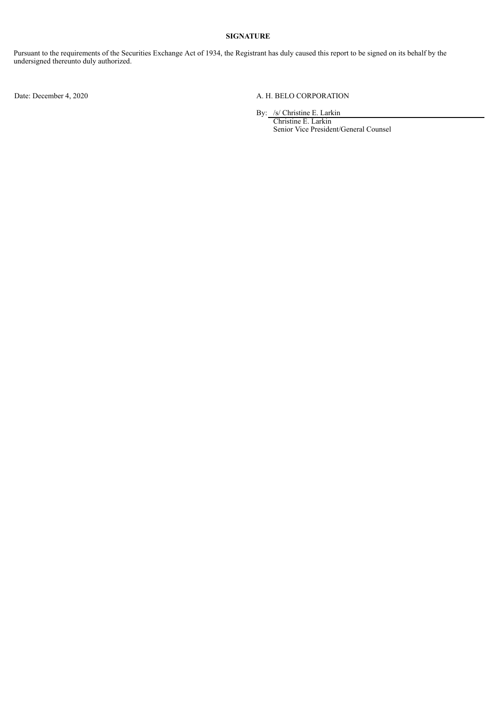#### **SIGNATURE**

Pursuant to the requirements of the Securities Exchange Act of 1934, the Registrant has duly caused this report to be signed on its behalf by the undersigned thereunto duly authorized.

#### Date: December 4, 2020 A. H. BELO CORPORATION

By: /s/ Christine E. Larkin

Christine E. Larkin Senior Vice President/General Counsel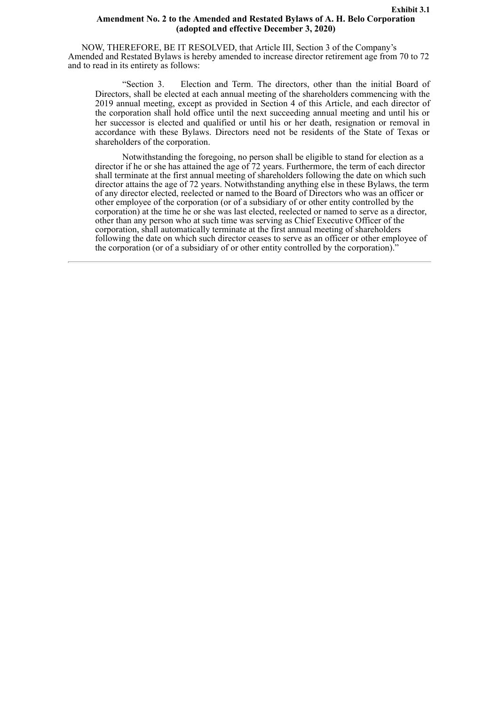#### **Exhibit 3.1 Amendment No. 2 to the Amended and Restated Bylaws of A. H. Belo Corporation (adopted and effective December 3, 2020)**

<span id="page-3-0"></span>NOW, THEREFORE, BE IT RESOLVED, that Article III, Section 3 of the Company's Amended and Restated Bylaws is hereby amended to increase director retirement age from 70 to 72 and to read in its entirety as follows:

"Section 3. Election and Term. The directors, other than the initial Board of Directors, shall be elected at each annual meeting of the shareholders commencing with the 2019 annual meeting, except as provided in Section 4 of this Article, and each director of the corporation shall hold office until the next succeeding annual meeting and until his or her successor is elected and qualified or until his or her death, resignation or removal in accordance with these Bylaws. Directors need not be residents of the State of Texas or shareholders of the corporation.

Notwithstanding the foregoing, no person shall be eligible to stand for election as a director if he or she has attained the age of 72 years. Furthermore, the term of each director shall terminate at the first annual meeting of shareholders following the date on which such director attains the age of 72 years. Notwithstanding anything else in these Bylaws, the term of any director elected, reelected or named to the Board of Directors who was an officer or other employee of the corporation (or of a subsidiary of or other entity controlled by the corporation) at the time he or she was last elected, reelected or named to serve as a director, other than any person who at such time was serving as Chief Executive Officer of the corporation, shall automatically terminate at the first annual meeting of shareholders following the date on which such director ceases to serve as an officer or other employee of the corporation (or of a subsidiary of or other entity controlled by the corporation).<sup>"</sup>